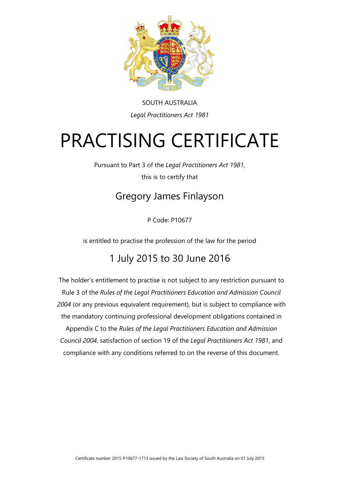

SOUTH AUSTRALIA *Legal Practitioners Act 1981*

# PRACTISING CERTIFICATE

Pursuant to Part 3 of the *Legal Practitioners Act 1981*, this is to certify that

### Gregory James Finlayson

P Code: P10677

is entitled to practise the profession of the law for the period

#### 1 July 2015 to 30 June 2016

The holder's entitlement to practise is not subject to any restriction pursuant to Rule 3 of the *Rules of the Legal Practitioners Education and Admission Council 2004* (or any previous equivalent requirement), but is subject to compliance with the mandatory continuing professional development obligations contained in Appendix C to the *Rules of the Legal Practitioners Education and Admission Council 2004*, satisfaction of section 19 of the *Legal Practitioners Act 1981*, and compliance with any conditions referred to on the reverse of this document.